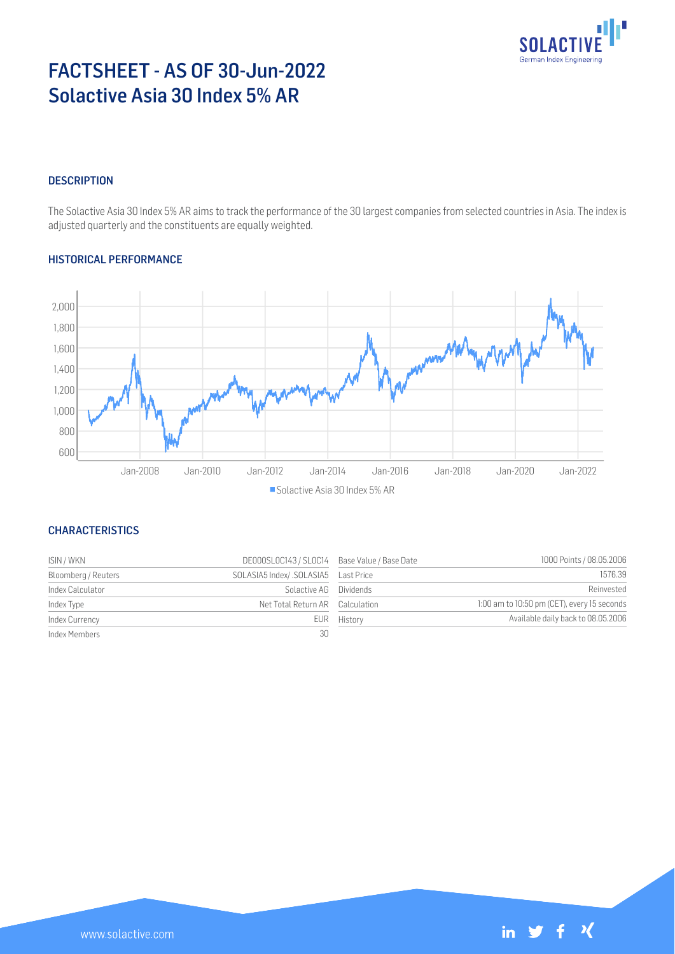

# FACTSHEET - AS OF 30-Jun-2022 Solactive Asia 30 Index 5% AR

# **DESCRIPTION**

The Solactive Asia 30 Index 5% AR aims to track the performance of the 30 largest companies from selected countries in Asia. The index is adjusted quarterly and the constituents are equally weighted.

## HISTORICAL PERFORMANCE



# **CHARACTERISTICS**

| ISIN / WKN          | DE000SLOC143 / SLOC14 Base Value / Base Date |             | 1000 Points / 08.05.2006                    |
|---------------------|----------------------------------------------|-------------|---------------------------------------------|
| Bloomberg / Reuters |                                              |             | 1576.39                                     |
| Index Calculator    | Solactive AG Dividends                       |             | Reinvested                                  |
| Index Type          | Net Total Return AR Calculation              |             | 1:00 am to 10:50 pm (CET), every 15 seconds |
| Index Currency      |                                              | EUR History | Available daily back to 08.05.2006          |
| Index Members       | 30                                           |             |                                             |

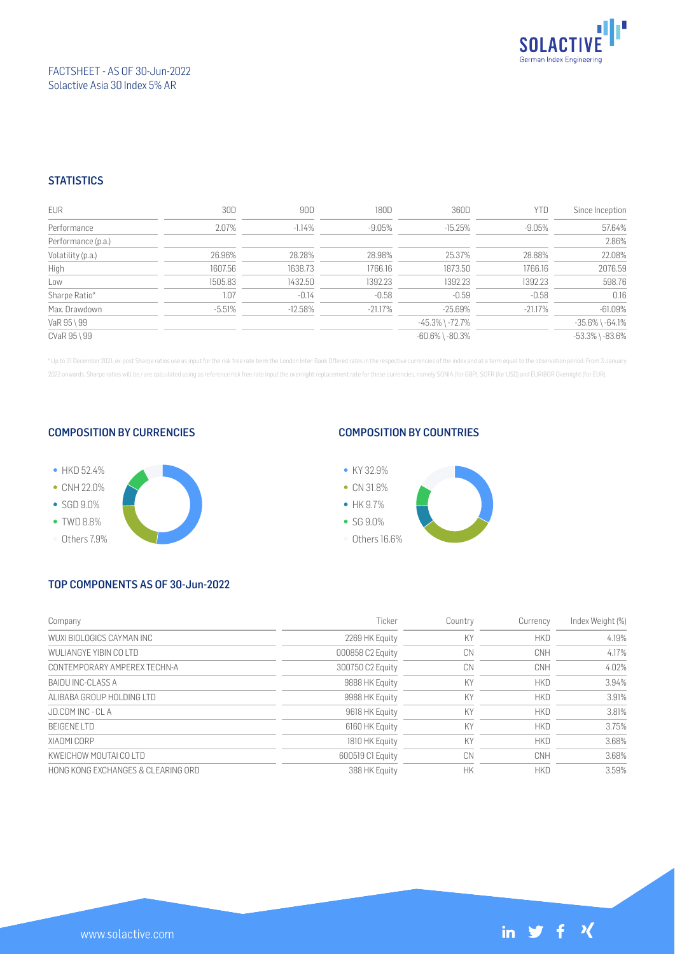

## FACTSHEET - AS OF 30-Jun-2022 Solactive Asia 30 Index 5% AR

## **STATISTICS**

| <b>EUR</b>         | 30D      | 90D       | 180D       | 360D                  | <b>YTD</b> | Since Inception       |
|--------------------|----------|-----------|------------|-----------------------|------------|-----------------------|
| Performance        | 2.07%    | $-1.14%$  | -9.05%     | $-15.25%$             | $-9.05%$   | 57.64%                |
| Performance (p.a.) |          |           |            |                       |            | 2.86%                 |
| Volatility (p.a.)  | 26.96%   | 28.28%    | 28.98%     | 25.37%                | 28.88%     | 22.08%                |
| High               | 1607.56  | 1638.73   | 1766.16    | 1873.50               | 1766.16    | 2076.59               |
| Low                | 1505.83  | 1432.50   | 1392.23    | 1392.23               | 1392.23    | 598.76                |
| Sharpe Ratio*      | 1.07     | $-0.14$   | $-0.58$    | $-0.59$               | $-0.58$    | 0.16                  |
| Max. Drawdown      | $-5.51%$ | $-12.58%$ | $-21.17\%$ | $-25.69%$             | $-21.17%$  | $-61.09%$             |
| VaR 95 \ 99        |          |           |            | $-45.3\%$ \ $-72.7\%$ |            | $-35.6\%$ \ $-64.1\%$ |
| CVaR 95 \ 99       |          |           |            | $-60.6\%$ \ $-80.3\%$ |            | $-53.3\%$ \ $-83.6\%$ |

\* Up to 31 December 2021, ex-post Sharpe ratios use as input for the risk free rate term the London Inter-Bank Offered rates in the respective currencies of the index and at a term equal to the observation period. From 3 J 2022 onwards, Sharpe ratios will be / are calculated using as reference risk free rate input the overnight replacement rate for these currencies, namely SONIA (for GBP), SOFR (for USD) and EURIBOR Overnight (for EUR).

#### COMPOSITION BY CURRENCIES



## COMPOSITION BY COUNTRIES



# TOP COMPONENTS AS OF 30-Jun-2022

| Company                            | Ticker           | Country | Currency   | Index Weight (%) |
|------------------------------------|------------------|---------|------------|------------------|
| WUXI BIOLOGICS CAYMAN INC          | 2269 HK Equity   | KY      | <b>HKD</b> | 4.19%            |
| WULIANGYE YIBIN CO LTD             | 000858 C2 Equity | CN      | <b>CNH</b> | 4.17%            |
| CONTEMPORARY AMPEREX TECHN-A       | 300750 C2 Equity | CN      | CNH        | 4.02%            |
| BAIDU INC-CLASS A                  | 9888 HK Equity   | KY      | <b>HKD</b> | 3.94%            |
| ALIBABA GROUP HOLDING LTD          | 9988 HK Equity   | KY      | <b>HKD</b> | 3.91%            |
| JD.COM INC - CLA                   | 9618 HK Equity   | KY      | <b>HKD</b> | 3.81%            |
| <b>BEIGENE LTD</b>                 | 6160 HK Equity   | KY      | <b>HKD</b> | 3.75%            |
| XIAOMI CORP                        | 1810 HK Equity   | KY      | <b>HKD</b> | 3.68%            |
| KWFICHOW MOUTALCO LTD              | 600519 C1 Equity | CN      | CNH        | 3.68%            |
| HONG KONG EXCHANGES & CLEARING ORD | 388 HK Equity    | НK      | <b>HKD</b> | 3.59%            |